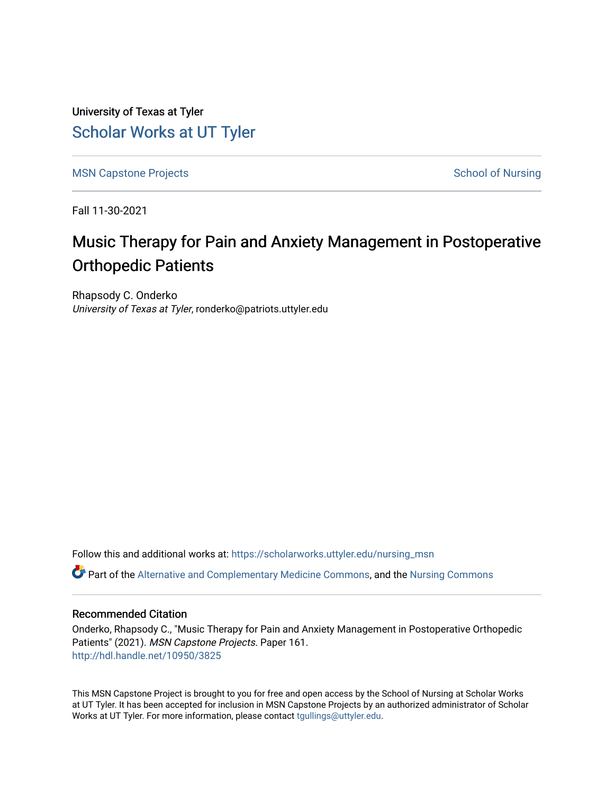University of Texas at Tyler [Scholar Works at UT Tyler](https://scholarworks.uttyler.edu/) 

[MSN Capstone Projects](https://scholarworks.uttyler.edu/nursing_msn) **School of Nursing** School of Nursing

Fall 11-30-2021

# Music Therapy for Pain and Anxiety Management in Postoperative Orthopedic Patients

Rhapsody C. Onderko University of Texas at Tyler, ronderko@patriots.uttyler.edu

Follow this and additional works at: [https://scholarworks.uttyler.edu/nursing\\_msn](https://scholarworks.uttyler.edu/nursing_msn?utm_source=scholarworks.uttyler.edu%2Fnursing_msn%2F161&utm_medium=PDF&utm_campaign=PDFCoverPages)

Part of the [Alternative and Complementary Medicine Commons,](http://network.bepress.com/hgg/discipline/649?utm_source=scholarworks.uttyler.edu%2Fnursing_msn%2F161&utm_medium=PDF&utm_campaign=PDFCoverPages) and the [Nursing Commons](http://network.bepress.com/hgg/discipline/718?utm_source=scholarworks.uttyler.edu%2Fnursing_msn%2F161&utm_medium=PDF&utm_campaign=PDFCoverPages)

## Recommended Citation

Onderko, Rhapsody C., "Music Therapy for Pain and Anxiety Management in Postoperative Orthopedic Patients" (2021). MSN Capstone Projects. Paper 161. [http://hdl.handle.net/10950/3825](http://hdl.handle.net/10950/3825?utm_source=scholarworks.uttyler.edu%2Fnursing_msn%2F161&utm_medium=PDF&utm_campaign=PDFCoverPages) 

This MSN Capstone Project is brought to you for free and open access by the School of Nursing at Scholar Works at UT Tyler. It has been accepted for inclusion in MSN Capstone Projects by an authorized administrator of Scholar Works at UT Tyler. For more information, please contact [tgullings@uttyler.edu](mailto:tgullings@uttyler.edu).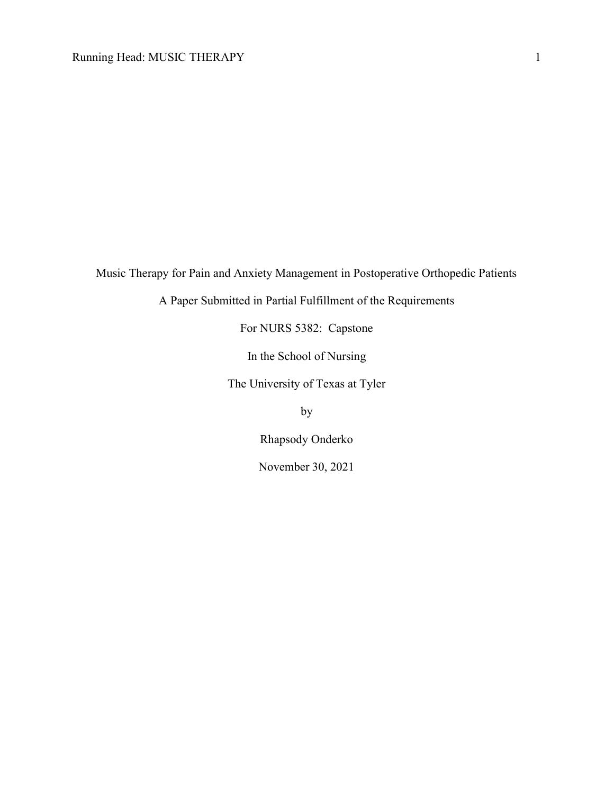Music Therapy for Pain and Anxiety Management in Postoperative Orthopedic Patients

A Paper Submitted in Partial Fulfillment of the Requirements

For NURS 5382: Capstone

In the School of Nursing

The University of Texas at Tyler

by

Rhapsody Onderko

November 30, 2021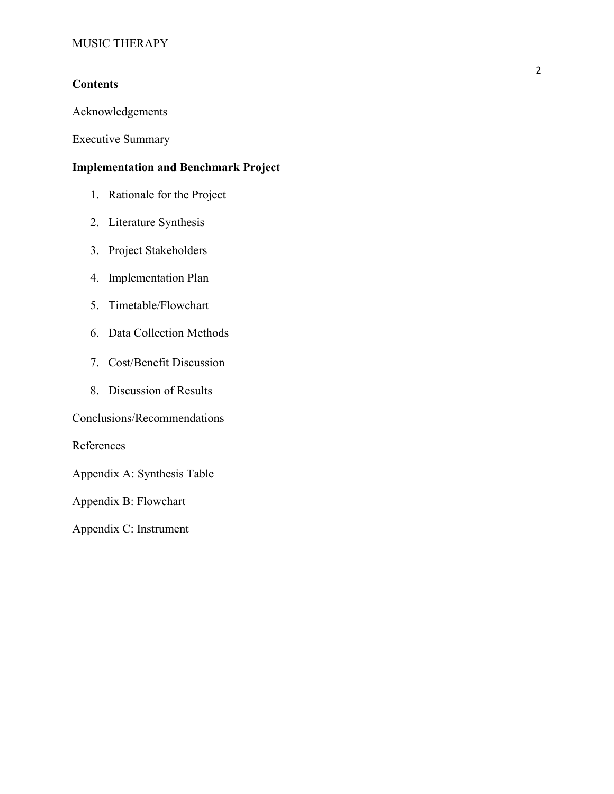# **Contents**

Acknowledgements

Executive Summary

# Implementation and Benchmark Project

- 1. Rationale for the Project
- 2. Literature Synthesis
- 3. Project Stakeholders
- 4. Implementation Plan
- 5. Timetable/Flowchart
- 6. Data Collection Methods
- 7. Cost/Benefit Discussion
- 8. Discussion of Results

Conclusions/Recommendations

References

Appendix A: Synthesis Table

Appendix B: Flowchart

Appendix C: Instrument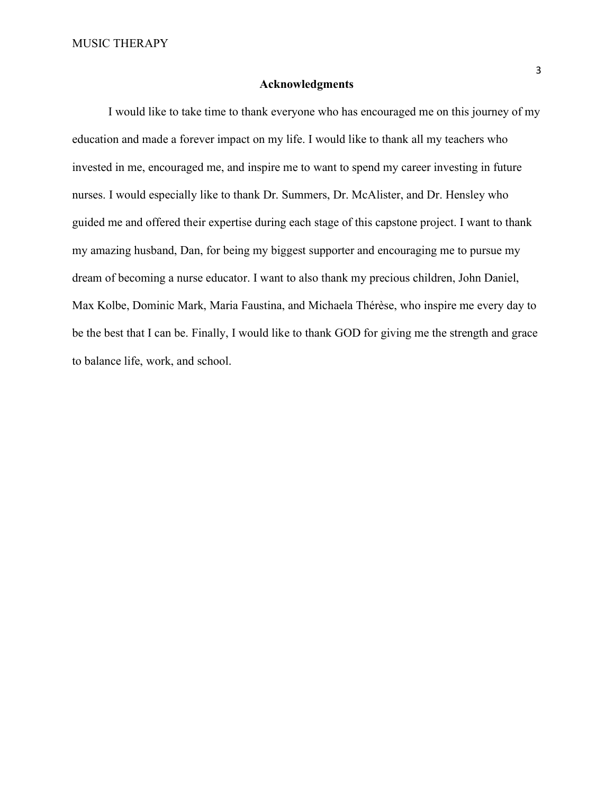### Acknowledgments

 I would like to take time to thank everyone who has encouraged me on this journey of my education and made a forever impact on my life. I would like to thank all my teachers who invested in me, encouraged me, and inspire me to want to spend my career investing in future nurses. I would especially like to thank Dr. Summers, Dr. McAlister, and Dr. Hensley who guided me and offered their expertise during each stage of this capstone project. I want to thank my amazing husband, Dan, for being my biggest supporter and encouraging me to pursue my dream of becoming a nurse educator. I want to also thank my precious children, John Daniel, Max Kolbe, Dominic Mark, Maria Faustina, and Michaela Thérèse, who inspire me every day to be the best that I can be. Finally, I would like to thank GOD for giving me the strength and grace to balance life, work, and school.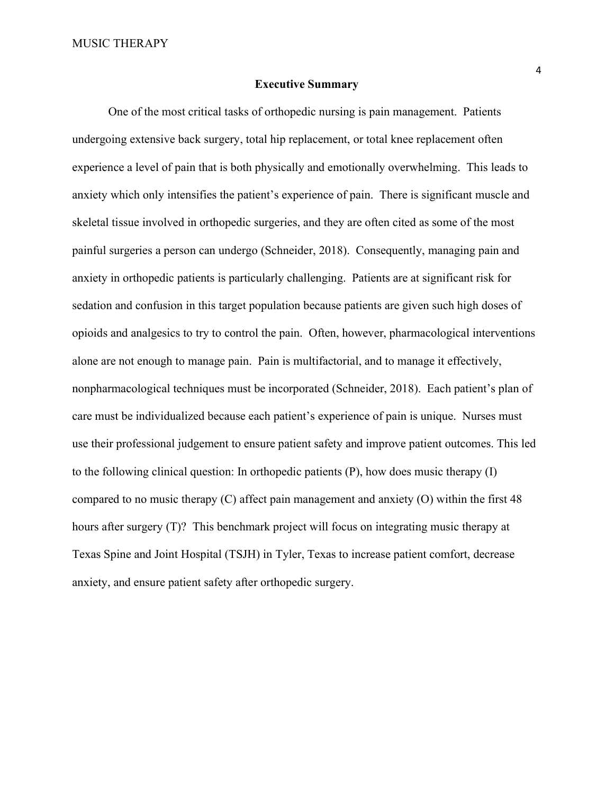#### Executive Summary

One of the most critical tasks of orthopedic nursing is pain management. Patients undergoing extensive back surgery, total hip replacement, or total knee replacement often experience a level of pain that is both physically and emotionally overwhelming. This leads to anxiety which only intensifies the patient's experience of pain. There is significant muscle and skeletal tissue involved in orthopedic surgeries, and they are often cited as some of the most painful surgeries a person can undergo (Schneider, 2018). Consequently, managing pain and anxiety in orthopedic patients is particularly challenging. Patients are at significant risk for sedation and confusion in this target population because patients are given such high doses of opioids and analgesics to try to control the pain. Often, however, pharmacological interventions alone are not enough to manage pain. Pain is multifactorial, and to manage it effectively, nonpharmacological techniques must be incorporated (Schneider, 2018). Each patient's plan of care must be individualized because each patient's experience of pain is unique. Nurses must use their professional judgement to ensure patient safety and improve patient outcomes. This led to the following clinical question: In orthopedic patients (P), how does music therapy (I) compared to no music therapy (C) affect pain management and anxiety (O) within the first 48 hours after surgery (T)? This benchmark project will focus on integrating music therapy at Texas Spine and Joint Hospital (TSJH) in Tyler, Texas to increase patient comfort, decrease anxiety, and ensure patient safety after orthopedic surgery.

4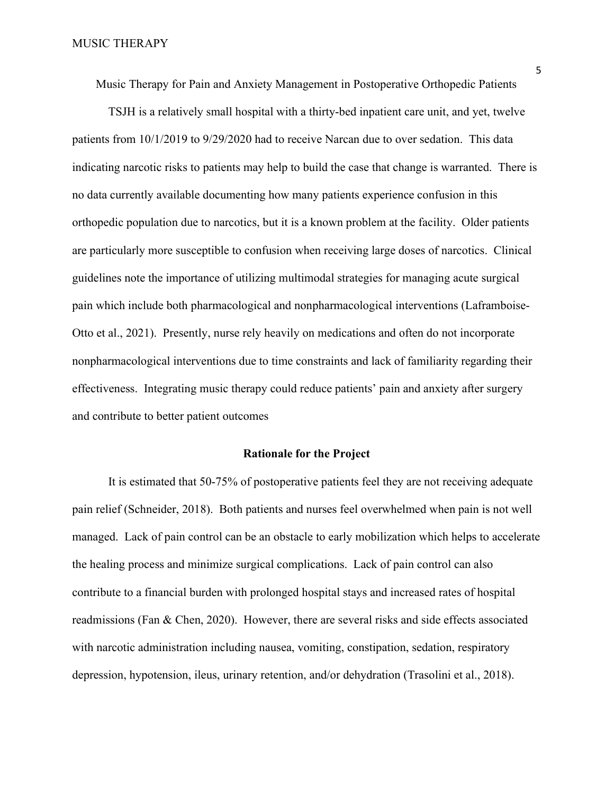Music Therapy for Pain and Anxiety Management in Postoperative Orthopedic Patients

TSJH is a relatively small hospital with a thirty-bed inpatient care unit, and yet, twelve patients from 10/1/2019 to 9/29/2020 had to receive Narcan due to over sedation. This data indicating narcotic risks to patients may help to build the case that change is warranted. There is no data currently available documenting how many patients experience confusion in this orthopedic population due to narcotics, but it is a known problem at the facility. Older patients are particularly more susceptible to confusion when receiving large doses of narcotics. Clinical guidelines note the importance of utilizing multimodal strategies for managing acute surgical pain which include both pharmacological and nonpharmacological interventions (Laframboise-Otto et al., 2021). Presently, nurse rely heavily on medications and often do not incorporate nonpharmacological interventions due to time constraints and lack of familiarity regarding their effectiveness. Integrating music therapy could reduce patients' pain and anxiety after surgery and contribute to better patient outcomes

### Rationale for the Project

It is estimated that 50-75% of postoperative patients feel they are not receiving adequate pain relief (Schneider, 2018). Both patients and nurses feel overwhelmed when pain is not well managed. Lack of pain control can be an obstacle to early mobilization which helps to accelerate the healing process and minimize surgical complications. Lack of pain control can also contribute to a financial burden with prolonged hospital stays and increased rates of hospital readmissions (Fan & Chen, 2020). However, there are several risks and side effects associated with narcotic administration including nausea, vomiting, constipation, sedation, respiratory depression, hypotension, ileus, urinary retention, and/or dehydration (Trasolini et al., 2018).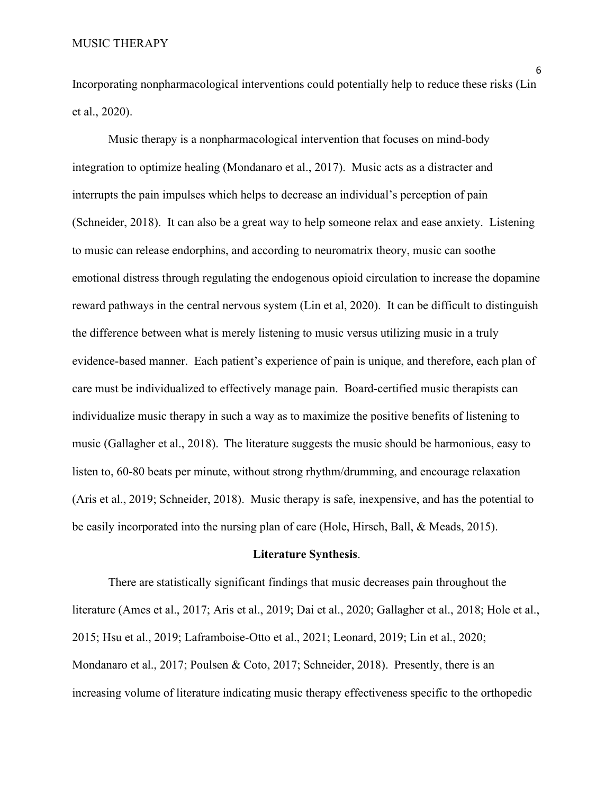Incorporating nonpharmacological interventions could potentially help to reduce these risks (Lin et al., 2020).

Music therapy is a nonpharmacological intervention that focuses on mind-body integration to optimize healing (Mondanaro et al., 2017). Music acts as a distracter and interrupts the pain impulses which helps to decrease an individual's perception of pain (Schneider, 2018). It can also be a great way to help someone relax and ease anxiety. Listening to music can release endorphins, and according to neuromatrix theory, music can soothe emotional distress through regulating the endogenous opioid circulation to increase the dopamine reward pathways in the central nervous system (Lin et al, 2020). It can be difficult to distinguish the difference between what is merely listening to music versus utilizing music in a truly evidence-based manner. Each patient's experience of pain is unique, and therefore, each plan of care must be individualized to effectively manage pain. Board-certified music therapists can individualize music therapy in such a way as to maximize the positive benefits of listening to music (Gallagher et al., 2018). The literature suggests the music should be harmonious, easy to listen to, 60-80 beats per minute, without strong rhythm/drumming, and encourage relaxation (Aris et al., 2019; Schneider, 2018). Music therapy is safe, inexpensive, and has the potential to be easily incorporated into the nursing plan of care (Hole, Hirsch, Ball, & Meads, 2015).

### Literature Synthesis.

There are statistically significant findings that music decreases pain throughout the literature (Ames et al., 2017; Aris et al., 2019; Dai et al., 2020; Gallagher et al., 2018; Hole et al., 2015; Hsu et al., 2019; Laframboise-Otto et al., 2021; Leonard, 2019; Lin et al., 2020; Mondanaro et al., 2017; Poulsen & Coto, 2017; Schneider, 2018). Presently, there is an increasing volume of literature indicating music therapy effectiveness specific to the orthopedic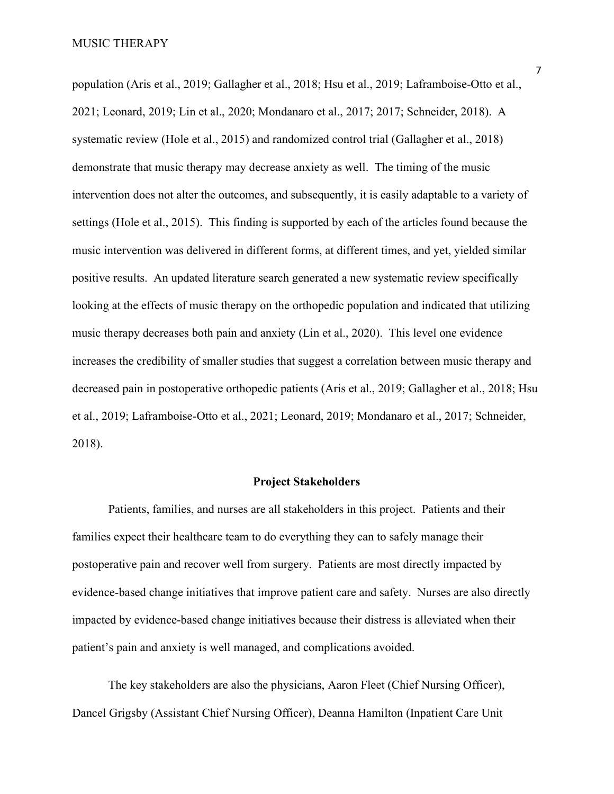population (Aris et al., 2019; Gallagher et al., 2018; Hsu et al., 2019; Laframboise-Otto et al., 2021; Leonard, 2019; Lin et al., 2020; Mondanaro et al., 2017; 2017; Schneider, 2018). A systematic review (Hole et al., 2015) and randomized control trial (Gallagher et al., 2018) demonstrate that music therapy may decrease anxiety as well. The timing of the music intervention does not alter the outcomes, and subsequently, it is easily adaptable to a variety of settings (Hole et al., 2015). This finding is supported by each of the articles found because the music intervention was delivered in different forms, at different times, and yet, yielded similar positive results. An updated literature search generated a new systematic review specifically looking at the effects of music therapy on the orthopedic population and indicated that utilizing music therapy decreases both pain and anxiety (Lin et al., 2020). This level one evidence increases the credibility of smaller studies that suggest a correlation between music therapy and decreased pain in postoperative orthopedic patients (Aris et al., 2019; Gallagher et al., 2018; Hsu et al., 2019; Laframboise-Otto et al., 2021; Leonard, 2019; Mondanaro et al., 2017; Schneider, 2018).

## Project Stakeholders

Patients, families, and nurses are all stakeholders in this project. Patients and their families expect their healthcare team to do everything they can to safely manage their postoperative pain and recover well from surgery. Patients are most directly impacted by evidence-based change initiatives that improve patient care and safety. Nurses are also directly impacted by evidence-based change initiatives because their distress is alleviated when their patient's pain and anxiety is well managed, and complications avoided.

The key stakeholders are also the physicians, Aaron Fleet (Chief Nursing Officer), Dancel Grigsby (Assistant Chief Nursing Officer), Deanna Hamilton (Inpatient Care Unit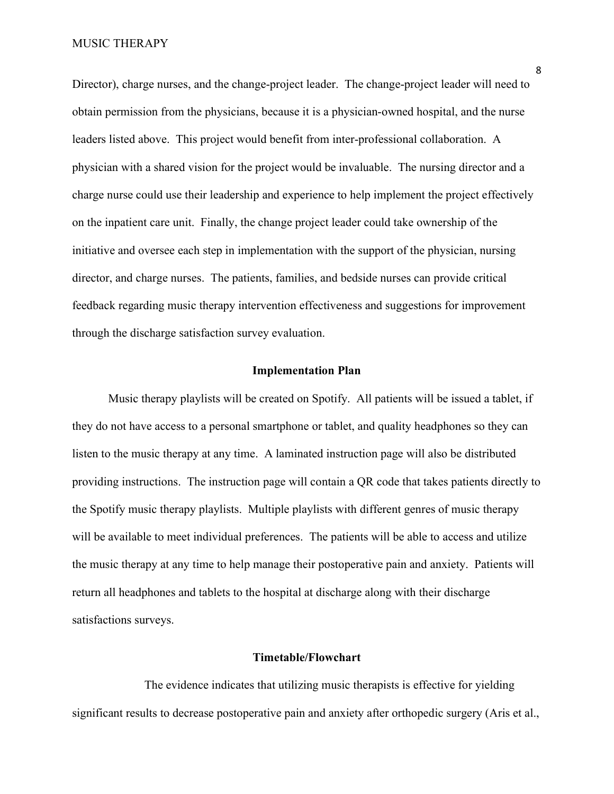#### MUSIC THERAPY

Director), charge nurses, and the change-project leader. The change-project leader will need to obtain permission from the physicians, because it is a physician-owned hospital, and the nurse leaders listed above. This project would benefit from inter-professional collaboration. A physician with a shared vision for the project would be invaluable. The nursing director and a charge nurse could use their leadership and experience to help implement the project effectively on the inpatient care unit. Finally, the change project leader could take ownership of the initiative and oversee each step in implementation with the support of the physician, nursing director, and charge nurses. The patients, families, and bedside nurses can provide critical feedback regarding music therapy intervention effectiveness and suggestions for improvement through the discharge satisfaction survey evaluation.

#### Implementation Plan

 Music therapy playlists will be created on Spotify. All patients will be issued a tablet, if they do not have access to a personal smartphone or tablet, and quality headphones so they can listen to the music therapy at any time. A laminated instruction page will also be distributed providing instructions. The instruction page will contain a QR code that takes patients directly to the Spotify music therapy playlists. Multiple playlists with different genres of music therapy will be available to meet individual preferences. The patients will be able to access and utilize the music therapy at any time to help manage their postoperative pain and anxiety. Patients will return all headphones and tablets to the hospital at discharge along with their discharge satisfactions surveys.

# Timetable/Flowchart

 The evidence indicates that utilizing music therapists is effective for yielding significant results to decrease postoperative pain and anxiety after orthopedic surgery (Aris et al.,

8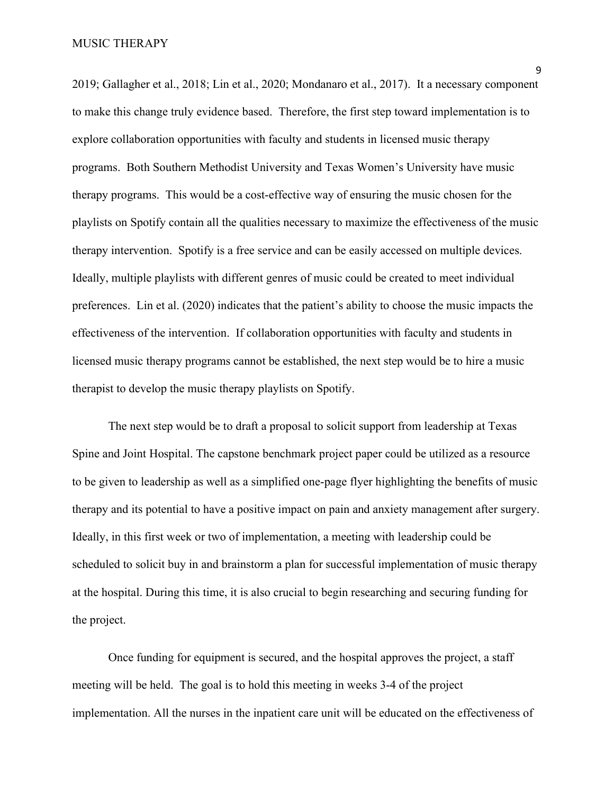2019; Gallagher et al., 2018; Lin et al., 2020; Mondanaro et al., 2017). It a necessary component to make this change truly evidence based. Therefore, the first step toward implementation is to explore collaboration opportunities with faculty and students in licensed music therapy programs. Both Southern Methodist University and Texas Women's University have music therapy programs. This would be a cost-effective way of ensuring the music chosen for the playlists on Spotify contain all the qualities necessary to maximize the effectiveness of the music therapy intervention. Spotify is a free service and can be easily accessed on multiple devices. Ideally, multiple playlists with different genres of music could be created to meet individual preferences. Lin et al. (2020) indicates that the patient's ability to choose the music impacts the effectiveness of the intervention. If collaboration opportunities with faculty and students in licensed music therapy programs cannot be established, the next step would be to hire a music therapist to develop the music therapy playlists on Spotify.

The next step would be to draft a proposal to solicit support from leadership at Texas Spine and Joint Hospital. The capstone benchmark project paper could be utilized as a resource to be given to leadership as well as a simplified one-page flyer highlighting the benefits of music therapy and its potential to have a positive impact on pain and anxiety management after surgery. Ideally, in this first week or two of implementation, a meeting with leadership could be scheduled to solicit buy in and brainstorm a plan for successful implementation of music therapy at the hospital. During this time, it is also crucial to begin researching and securing funding for the project.

Once funding for equipment is secured, and the hospital approves the project, a staff meeting will be held. The goal is to hold this meeting in weeks 3-4 of the project implementation. All the nurses in the inpatient care unit will be educated on the effectiveness of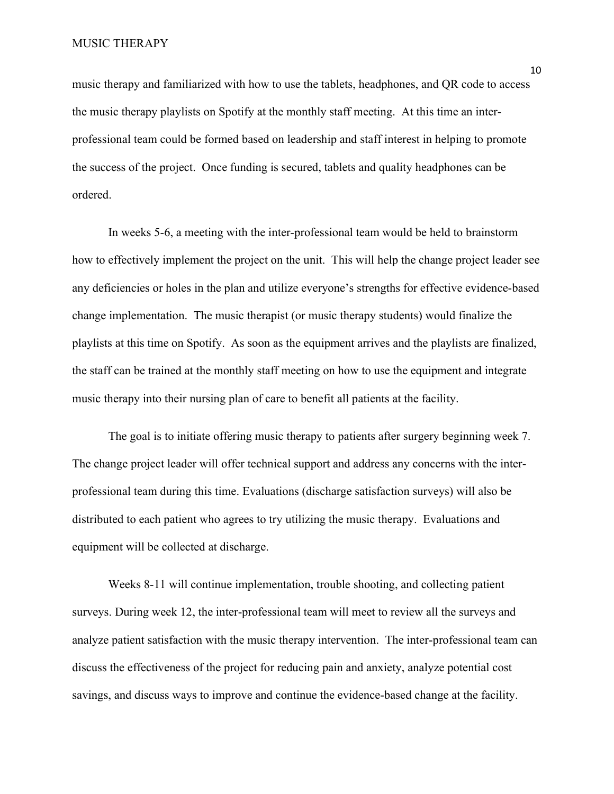music therapy and familiarized with how to use the tablets, headphones, and QR code to access the music therapy playlists on Spotify at the monthly staff meeting. At this time an interprofessional team could be formed based on leadership and staff interest in helping to promote the success of the project. Once funding is secured, tablets and quality headphones can be ordered.

In weeks 5-6, a meeting with the inter-professional team would be held to brainstorm how to effectively implement the project on the unit. This will help the change project leader see any deficiencies or holes in the plan and utilize everyone's strengths for effective evidence-based change implementation. The music therapist (or music therapy students) would finalize the playlists at this time on Spotify. As soon as the equipment arrives and the playlists are finalized, the staff can be trained at the monthly staff meeting on how to use the equipment and integrate music therapy into their nursing plan of care to benefit all patients at the facility.

The goal is to initiate offering music therapy to patients after surgery beginning week 7. The change project leader will offer technical support and address any concerns with the interprofessional team during this time. Evaluations (discharge satisfaction surveys) will also be distributed to each patient who agrees to try utilizing the music therapy. Evaluations and equipment will be collected at discharge.

Weeks 8-11 will continue implementation, trouble shooting, and collecting patient surveys. During week 12, the inter-professional team will meet to review all the surveys and analyze patient satisfaction with the music therapy intervention. The inter-professional team can discuss the effectiveness of the project for reducing pain and anxiety, analyze potential cost savings, and discuss ways to improve and continue the evidence-based change at the facility.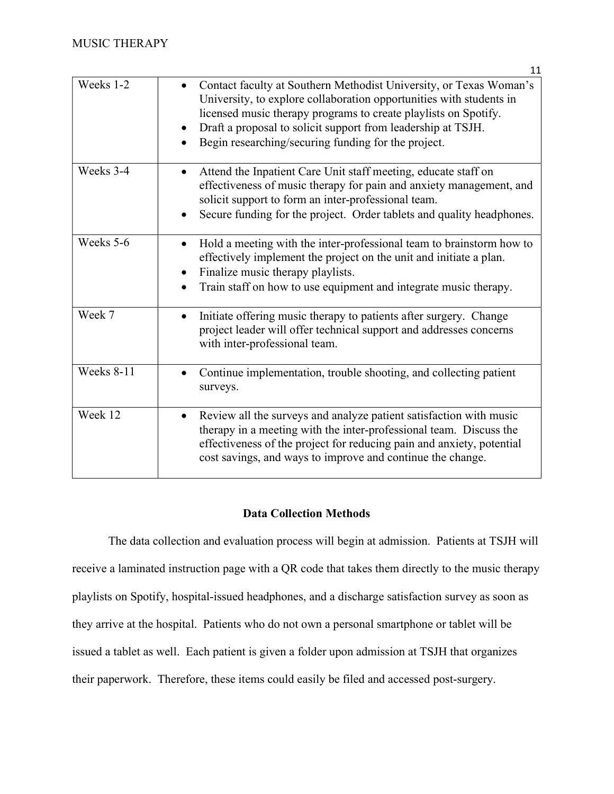|            | 11                                                                                                                                                                                                                                                                                                                                  |  |  |  |  |  |  |
|------------|-------------------------------------------------------------------------------------------------------------------------------------------------------------------------------------------------------------------------------------------------------------------------------------------------------------------------------------|--|--|--|--|--|--|
| Weeks 1-2  | Contact faculty at Southern Methodist University, or Texas Woman's<br>University, to explore collaboration opportunities with students in<br>licensed music therapy programs to create playlists on Spotify.<br>Draft a proposal to solicit support from leadership at TSJH.<br>Begin researching/securing funding for the project. |  |  |  |  |  |  |
| Weeks 3-4  | Attend the Inpatient Care Unit staff meeting, educate staff on<br>effectiveness of music therapy for pain and anxiety management, and<br>solicit support to form an inter-professional team.<br>Secure funding for the project. Order tablets and quality headphones.                                                               |  |  |  |  |  |  |
| Weeks 5-6  | Hold a meeting with the inter-professional team to brainstorm how to<br>effectively implement the project on the unit and initiate a plan.<br>Finalize music therapy playlists.<br>Train staff on how to use equipment and integrate music therapy.                                                                                 |  |  |  |  |  |  |
| Week 7     | Initiate offering music therapy to patients after surgery. Change<br>project leader will offer technical support and addresses concerns<br>with inter-professional team.                                                                                                                                                            |  |  |  |  |  |  |
| Weeks 8-11 | Continue implementation, trouble shooting, and collecting patient<br>surveys.                                                                                                                                                                                                                                                       |  |  |  |  |  |  |
| Week 12    | Review all the surveys and analyze patient satisfaction with music<br>therapy in a meeting with the inter-professional team. Discuss the<br>effectiveness of the project for reducing pain and anxiety, potential<br>cost savings, and ways to improve and continue the change.                                                     |  |  |  |  |  |  |

# Data Collection Methods

The data collection and evaluation process will begin at admission. Patients at TSJH will receive a laminated instruction page with a QR code that takes them directly to the music therapy playlists on Spotify, hospital-issued headphones, and a discharge satisfaction survey as soon as they arrive at the hospital. Patients who do not own a personal smartphone or tablet will be issued a tablet as well. Each patient is given a folder upon admission at TSJH that organizes their paperwork. Therefore, these items could easily be filed and accessed post-surgery.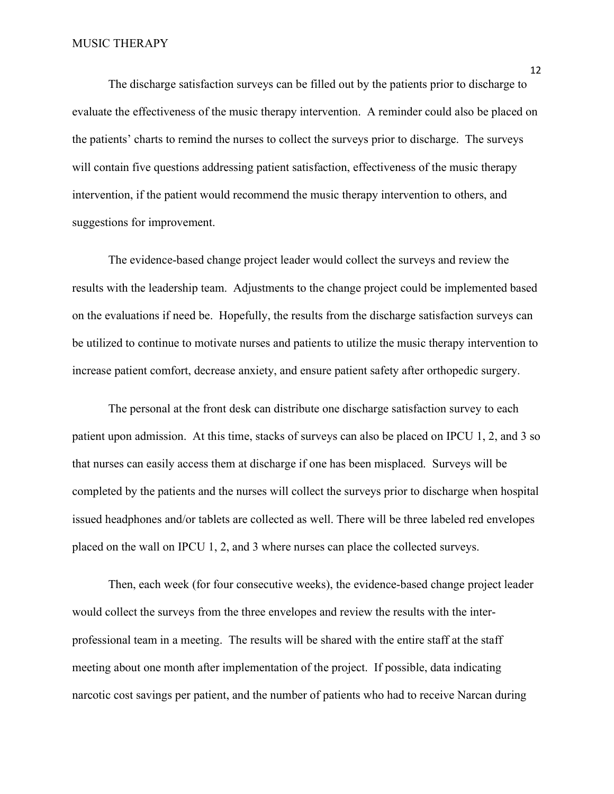The discharge satisfaction surveys can be filled out by the patients prior to discharge to evaluate the effectiveness of the music therapy intervention. A reminder could also be placed on the patients' charts to remind the nurses to collect the surveys prior to discharge. The surveys will contain five questions addressing patient satisfaction, effectiveness of the music therapy intervention, if the patient would recommend the music therapy intervention to others, and suggestions for improvement.

 The evidence-based change project leader would collect the surveys and review the results with the leadership team. Adjustments to the change project could be implemented based on the evaluations if need be. Hopefully, the results from the discharge satisfaction surveys can be utilized to continue to motivate nurses and patients to utilize the music therapy intervention to increase patient comfort, decrease anxiety, and ensure patient safety after orthopedic surgery.

 The personal at the front desk can distribute one discharge satisfaction survey to each patient upon admission. At this time, stacks of surveys can also be placed on IPCU 1, 2, and 3 so that nurses can easily access them at discharge if one has been misplaced. Surveys will be completed by the patients and the nurses will collect the surveys prior to discharge when hospital issued headphones and/or tablets are collected as well. There will be three labeled red envelopes placed on the wall on IPCU 1, 2, and 3 where nurses can place the collected surveys.

 Then, each week (for four consecutive weeks), the evidence-based change project leader would collect the surveys from the three envelopes and review the results with the interprofessional team in a meeting. The results will be shared with the entire staff at the staff meeting about one month after implementation of the project. If possible, data indicating narcotic cost savings per patient, and the number of patients who had to receive Narcan during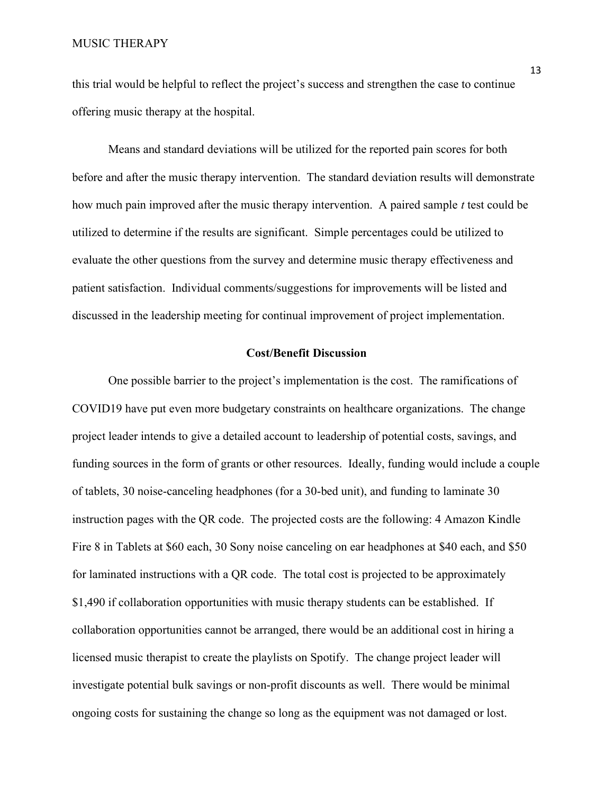#### MUSIC THERAPY

this trial would be helpful to reflect the project's success and strengthen the case to continue offering music therapy at the hospital.

Means and standard deviations will be utilized for the reported pain scores for both before and after the music therapy intervention. The standard deviation results will demonstrate how much pain improved after the music therapy intervention. A paired sample  $t$  test could be utilized to determine if the results are significant. Simple percentages could be utilized to evaluate the other questions from the survey and determine music therapy effectiveness and patient satisfaction. Individual comments/suggestions for improvements will be listed and discussed in the leadership meeting for continual improvement of project implementation.

## Cost/Benefit Discussion

One possible barrier to the project's implementation is the cost. The ramifications of COVID19 have put even more budgetary constraints on healthcare organizations. The change project leader intends to give a detailed account to leadership of potential costs, savings, and funding sources in the form of grants or other resources. Ideally, funding would include a couple of tablets, 30 noise-canceling headphones (for a 30-bed unit), and funding to laminate 30 instruction pages with the QR code. The projected costs are the following: 4 Amazon Kindle Fire 8 in Tablets at \$60 each, 30 Sony noise canceling on ear headphones at \$40 each, and \$50 for laminated instructions with a QR code. The total cost is projected to be approximately \$1,490 if collaboration opportunities with music therapy students can be established. If collaboration opportunities cannot be arranged, there would be an additional cost in hiring a licensed music therapist to create the playlists on Spotify. The change project leader will investigate potential bulk savings or non-profit discounts as well. There would be minimal ongoing costs for sustaining the change so long as the equipment was not damaged or lost.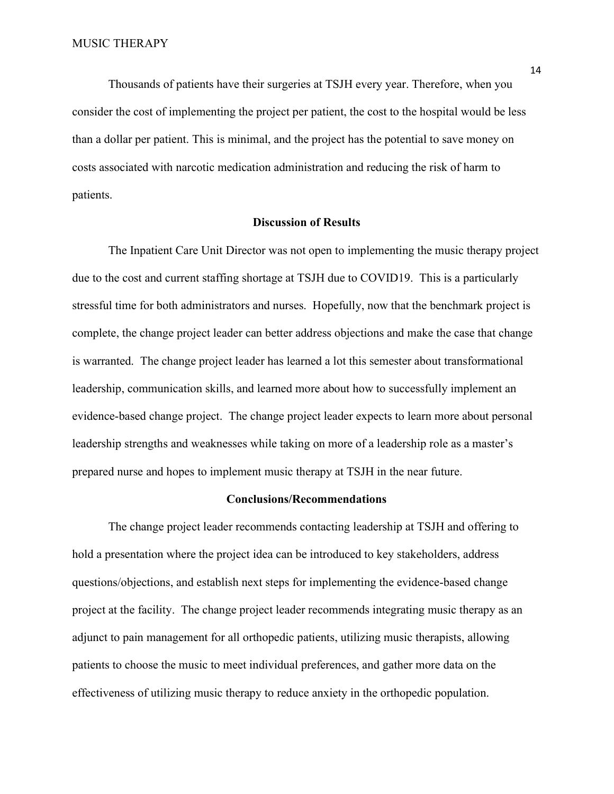Thousands of patients have their surgeries at TSJH every year. Therefore, when you consider the cost of implementing the project per patient, the cost to the hospital would be less than a dollar per patient. This is minimal, and the project has the potential to save money on costs associated with narcotic medication administration and reducing the risk of harm to patients.

## Discussion of Results

 The Inpatient Care Unit Director was not open to implementing the music therapy project due to the cost and current staffing shortage at TSJH due to COVID19. This is a particularly stressful time for both administrators and nurses. Hopefully, now that the benchmark project is complete, the change project leader can better address objections and make the case that change is warranted. The change project leader has learned a lot this semester about transformational leadership, communication skills, and learned more about how to successfully implement an evidence-based change project. The change project leader expects to learn more about personal leadership strengths and weaknesses while taking on more of a leadership role as a master's prepared nurse and hopes to implement music therapy at TSJH in the near future.

#### Conclusions/Recommendations

The change project leader recommends contacting leadership at TSJH and offering to hold a presentation where the project idea can be introduced to key stakeholders, address questions/objections, and establish next steps for implementing the evidence-based change project at the facility. The change project leader recommends integrating music therapy as an adjunct to pain management for all orthopedic patients, utilizing music therapists, allowing patients to choose the music to meet individual preferences, and gather more data on the effectiveness of utilizing music therapy to reduce anxiety in the orthopedic population.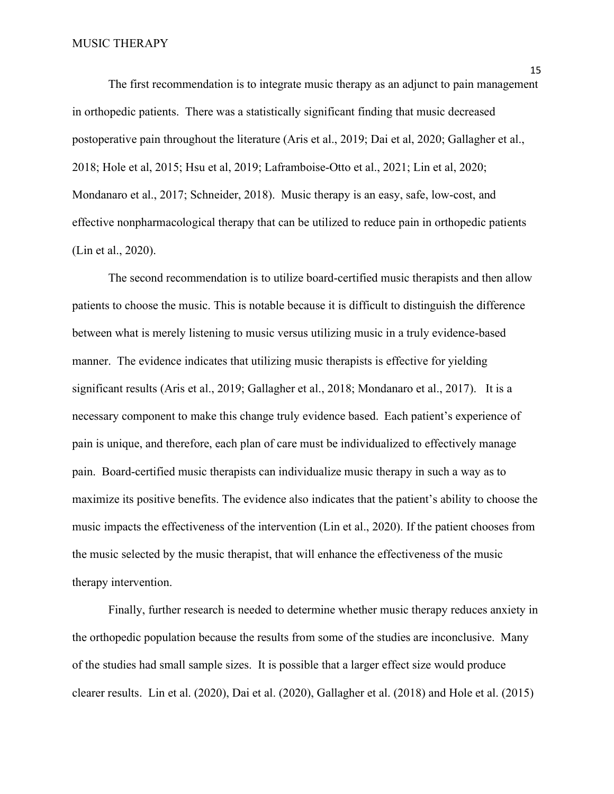#### MUSIC THERAPY

The first recommendation is to integrate music therapy as an adjunct to pain management in orthopedic patients. There was a statistically significant finding that music decreased postoperative pain throughout the literature (Aris et al., 2019; Dai et al, 2020; Gallagher et al., 2018; Hole et al, 2015; Hsu et al, 2019; Laframboise-Otto et al., 2021; Lin et al, 2020; Mondanaro et al., 2017; Schneider, 2018). Music therapy is an easy, safe, low-cost, and effective nonpharmacological therapy that can be utilized to reduce pain in orthopedic patients (Lin et al., 2020).

The second recommendation is to utilize board-certified music therapists and then allow patients to choose the music. This is notable because it is difficult to distinguish the difference between what is merely listening to music versus utilizing music in a truly evidence-based manner. The evidence indicates that utilizing music therapists is effective for yielding significant results (Aris et al., 2019; Gallagher et al., 2018; Mondanaro et al., 2017). It is a necessary component to make this change truly evidence based. Each patient's experience of pain is unique, and therefore, each plan of care must be individualized to effectively manage pain. Board-certified music therapists can individualize music therapy in such a way as to maximize its positive benefits. The evidence also indicates that the patient's ability to choose the music impacts the effectiveness of the intervention (Lin et al., 2020). If the patient chooses from the music selected by the music therapist, that will enhance the effectiveness of the music therapy intervention.

Finally, further research is needed to determine whether music therapy reduces anxiety in the orthopedic population because the results from some of the studies are inconclusive. Many of the studies had small sample sizes. It is possible that a larger effect size would produce clearer results. Lin et al. (2020), Dai et al. (2020), Gallagher et al. (2018) and Hole et al. (2015)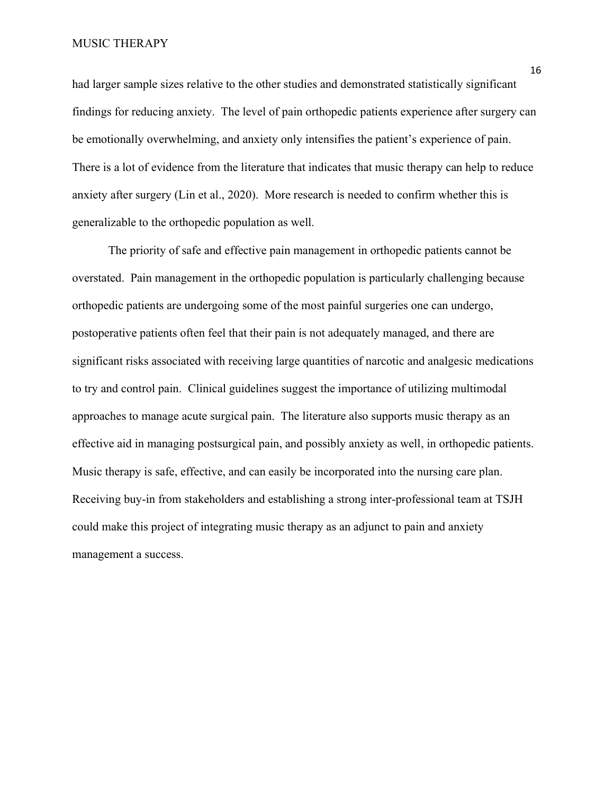MUSIC THERAPY

had larger sample sizes relative to the other studies and demonstrated statistically significant findings for reducing anxiety. The level of pain orthopedic patients experience after surgery can be emotionally overwhelming, and anxiety only intensifies the patient's experience of pain. There is a lot of evidence from the literature that indicates that music therapy can help to reduce anxiety after surgery (Lin et al., 2020). More research is needed to confirm whether this is generalizable to the orthopedic population as well.

The priority of safe and effective pain management in orthopedic patients cannot be overstated. Pain management in the orthopedic population is particularly challenging because orthopedic patients are undergoing some of the most painful surgeries one can undergo, postoperative patients often feel that their pain is not adequately managed, and there are significant risks associated with receiving large quantities of narcotic and analgesic medications to try and control pain. Clinical guidelines suggest the importance of utilizing multimodal approaches to manage acute surgical pain. The literature also supports music therapy as an effective aid in managing postsurgical pain, and possibly anxiety as well, in orthopedic patients. Music therapy is safe, effective, and can easily be incorporated into the nursing care plan. Receiving buy-in from stakeholders and establishing a strong inter-professional team at TSJH could make this project of integrating music therapy as an adjunct to pain and anxiety management a success.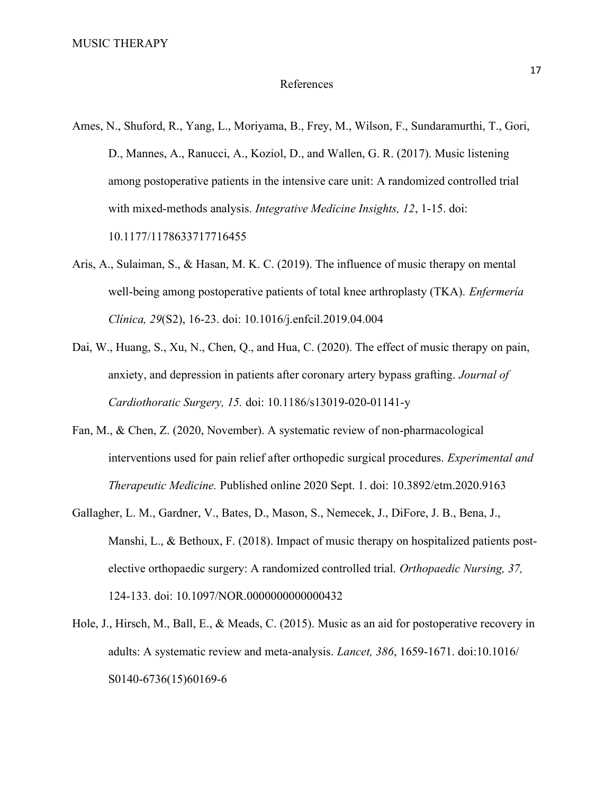#### References

- Ames, N., Shuford, R., Yang, L., Moriyama, B., Frey, M., Wilson, F., Sundaramurthi, T., Gori, D., Mannes, A., Ranucci, A., Koziol, D., and Wallen, G. R. (2017). Music listening among postoperative patients in the intensive care unit: A randomized controlled trial with mixed-methods analysis. *Integrative Medicine Insights*, 12, 1-15. doi: 10.1177/1178633717716455
- Aris, A., Sulaiman, S., & Hasan, M. K. C. (2019). The influence of music therapy on mental well-being among postoperative patients of total knee arthroplasty (TKA). *Enfermeria* Clínica, 29(S2), 16-23. doi: 10.1016/j.enfcil.2019.04.004
- Dai, W., Huang, S., Xu, N., Chen, Q., and Hua, C. (2020). The effect of music therapy on pain, anxiety, and depression in patients after coronary artery bypass grafting. Journal of Cardiothoratic Surgery, 15. doi: 10.1186/s13019-020-01141-y
- Fan, M., & Chen, Z. (2020, November). A systematic review of non-pharmacological interventions used for pain relief after orthopedic surgical procedures. Experimental and Therapeutic Medicine. Published online 2020 Sept. 1. doi: 10.3892/etm.2020.9163
- Gallagher, L. M., Gardner, V., Bates, D., Mason, S., Nemecek, J., DiFore, J. B., Bena, J., Manshi, L., & Bethoux, F. (2018). Impact of music therapy on hospitalized patients postelective orthopaedic surgery: A randomized controlled trial. Orthopaedic Nursing, 37, 124-133. doi: 10.1097/NOR.0000000000000432
- Hole, J., Hirsch, M., Ball, E., & Meads, C. (2015). Music as an aid for postoperative recovery in adults: A systematic review and meta-analysis. Lancet, 386, 1659-1671. doi:10.1016/ S0140-6736(15)60169-6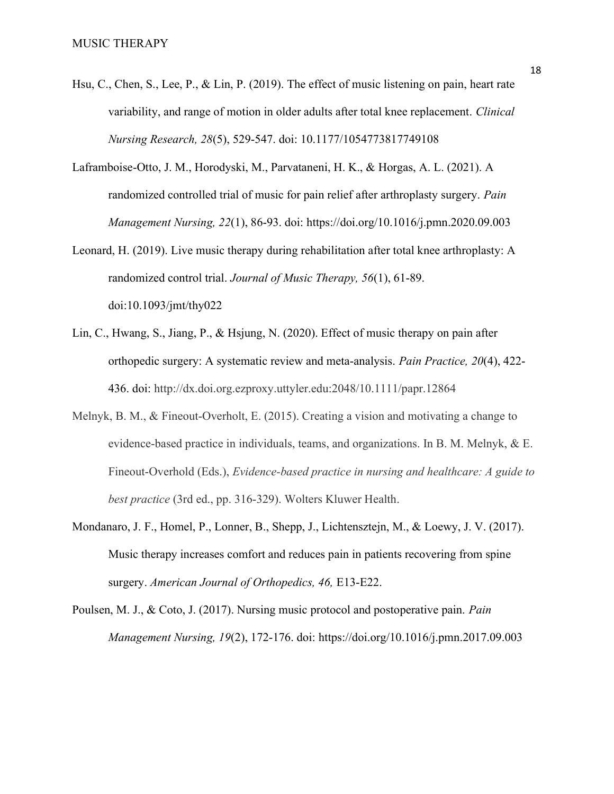- Hsu, C., Chen, S., Lee, P., & Lin, P. (2019). The effect of music listening on pain, heart rate variability, and range of motion in older adults after total knee replacement. Clinical Nursing Research, 28(5), 529-547. doi: 10.1177/1054773817749108
- Laframboise-Otto, J. M., Horodyski, M., Parvataneni, H. K., & Horgas, A. L. (2021). A randomized controlled trial of music for pain relief after arthroplasty surgery. Pain Management Nursing, 22(1), 86-93. doi: https://doi.org/10.1016/j.pmn.2020.09.003
- Leonard, H. (2019). Live music therapy during rehabilitation after total knee arthroplasty: A randomized control trial. Journal of Music Therapy, 56(1), 61-89. doi:10.1093/jmt/thy022
- Lin, C., Hwang, S., Jiang, P., & Hsjung, N. (2020). Effect of music therapy on pain after orthopedic surgery: A systematic review and meta-analysis. Pain Practice, 20(4), 422- 436. doi: http://dx.doi.org.ezproxy.uttyler.edu:2048/10.1111/papr.12864
- Melnyk, B. M., & Fineout-Overholt, E. (2015). Creating a vision and motivating a change to evidence-based practice in individuals, teams, and organizations. In B. M. Melnyk, & E. Fineout-Overhold (Eds.), Evidence-based practice in nursing and healthcare: A guide to best practice (3rd ed., pp. 316-329). Wolters Kluwer Health.
- Mondanaro, J. F., Homel, P., Lonner, B., Shepp, J., Lichtensztejn, M., & Loewy, J. V. (2017). Music therapy increases comfort and reduces pain in patients recovering from spine surgery. American Journal of Orthopedics, 46, E13-E22.
- Poulsen, M. J., & Coto, J. (2017). Nursing music protocol and postoperative pain. Pain Management Nursing, 19(2), 172-176. doi: https://doi.org/10.1016/j.pmn.2017.09.003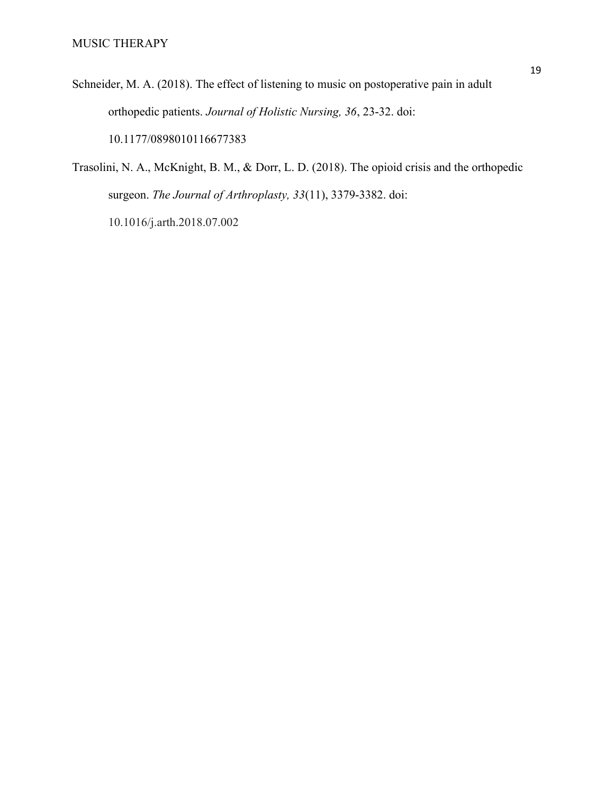- Schneider, M. A. (2018). The effect of listening to music on postoperative pain in adult orthopedic patients. Journal of Holistic Nursing, 36, 23-32. doi: 10.1177/0898010116677383
- Trasolini, N. A., McKnight, B. M., & Dorr, L. D. (2018). The opioid crisis and the orthopedic surgeon. The Journal of Arthroplasty, 33(11), 3379-3382. doi:

10.1016/j.arth.2018.07.002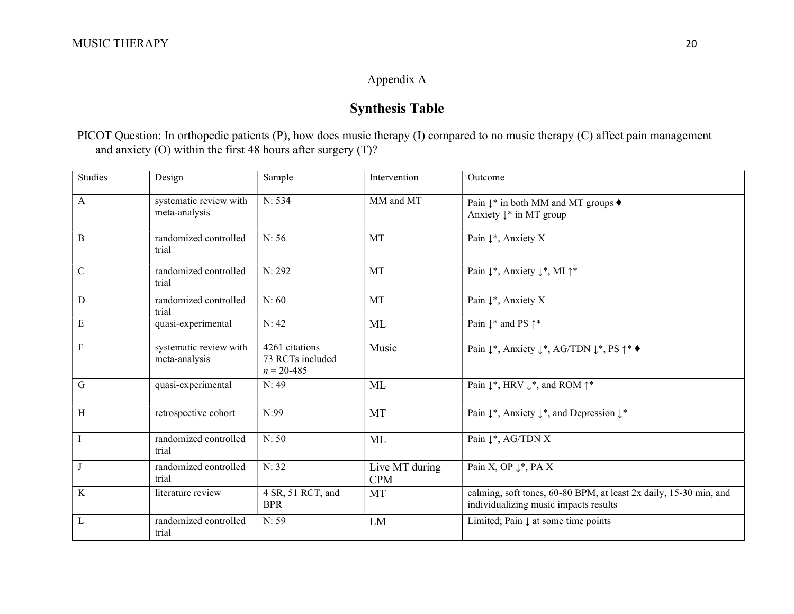# Appendix A

# Synthesis Table

PICOT Question: In orthopedic patients (P), how does music therapy (I) compared to no music therapy (C) affect pain management and anxiety (O) within the first 48 hours after surgery (T)?

| <b>Studies</b> | Design                                  | Intervention<br>Sample                               |                              | Outcome                                                                                                    |  |  |  |
|----------------|-----------------------------------------|------------------------------------------------------|------------------------------|------------------------------------------------------------------------------------------------------------|--|--|--|
| A              | systematic review with<br>meta-analysis | N: 534                                               | MM and MT                    | Pain $\downarrow^*$ in both MM and MT groups $\blacklozenge$<br>Anxiety ↓* in MT group                     |  |  |  |
| B              | randomized controlled<br>trial          | N: 56                                                | MT                           | Pain $\downarrow^*$ , Anxiety X                                                                            |  |  |  |
| $\mathbf C$    | randomized controlled<br>trial          | N: 292                                               | MT                           | Pain $\downarrow^*$ , Anxiety $\downarrow^*$ , MI $\uparrow^*$                                             |  |  |  |
| D              | randomized controlled<br>trial          | N:60                                                 | MT                           | Pain ↓*, Anxiety X                                                                                         |  |  |  |
| E              | quasi-experimental                      | N: 42                                                | ML                           | Pain $\downarrow^*$ and PS $\uparrow^*$                                                                    |  |  |  |
| F              | systematic review with<br>meta-analysis | 4261 citations<br>73 RCTs included<br>$n = 20 - 485$ | Music                        | Pain $\downarrow^*$ , Anxiety $\downarrow^*$ , AG/TDN $\downarrow^*$ , PS $\uparrow^* \blacklozenge$       |  |  |  |
| $\overline{G}$ | quasi-experimental                      | N: 49                                                | ML                           | Pain $\downarrow^*$ , HRV $\downarrow^*$ , and ROM $\uparrow^*$                                            |  |  |  |
| H              | retrospective cohort                    | N:99                                                 | MT                           | Pain $\downarrow^*$ , Anxiety $\downarrow^*$ , and Depression $\downarrow^*$                               |  |  |  |
| $\mathbf I$    | randomized controlled<br>trial          | N:50                                                 | ML                           | Pain ↓*, AG/TDN X                                                                                          |  |  |  |
| J              | randomized controlled<br>trial          | N: 32                                                | Live MT during<br><b>CPM</b> | Pain X, OP $\downarrow^*$ , PA X                                                                           |  |  |  |
| $\rm K$        | literature review                       | 4 SR, 51 RCT, and<br><b>BPR</b>                      | MT                           | calming, soft tones, 60-80 BPM, at least 2x daily, 15-30 min, and<br>individualizing music impacts results |  |  |  |
| L              | randomized controlled<br>trial          | N: 59                                                | LM                           | Limited; Pain $\downarrow$ at some time points                                                             |  |  |  |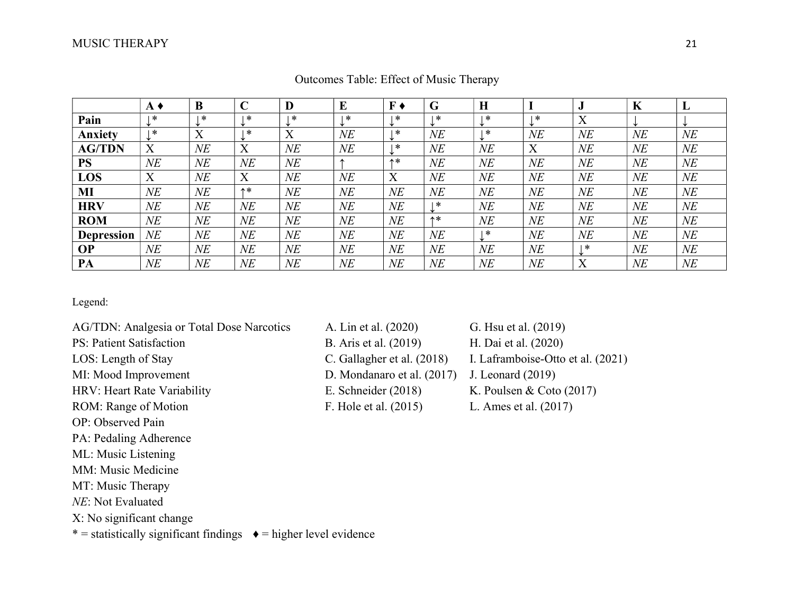|                   | $A \triangleleft$ | B      | $\sqrt{ }$                | D            | E      | F <sub>0</sub> | G      | H      |        | $\bullet$ | K      |           |
|-------------------|-------------------|--------|---------------------------|--------------|--------|----------------|--------|--------|--------|-----------|--------|-----------|
| Pain              | ∗                 | ∗      | ∗                         | *            | *      | ∗              | ∗      | ∣∗k    | *      | X         |        |           |
| Anxietv           | ∗                 | X      | $\ast$                    | $\mathbf{v}$ | $N\!E$ | ∗              | NE     | 米      | NE     | $N\!E$    | $N\!E$ | NE        |
| <b>AG/TDN</b>     | X                 | $N\!E$ | $\mathbf v$               | NE           | $N\!E$ | ∗              | NE     | $N\!E$ | X      | $N\!E$    | $N\!E$ | NE        |
| <b>PS</b>         | NE                | $N\!E$ | NE                        | NE           |        | 个米             | NE     | $N\!E$ | $N\!E$ | $N\!E$    | $N\!E$ | <b>NE</b> |
| LOS               | X                 | $N\!E$ | $\mathbf{v}$<br>$\Lambda$ | NE           | $N\!E$ | X              | $N\!E$ | NE     | NE     | $N\!E$    | $N\!E$ | <b>NE</b> |
| MI                | $N\!E$            | $N\!E$ | 个米                        | NE           | NE     | NE             | NE     | NE     | NE     | $N\!E$    | NE     | NE        |
| <b>HRV</b>        | NE                | $N\!E$ | $N\!E$                    | NE           | NE     | $N\!E$         | ∗      | NE     | NE     | $N\!E$    | $N\!E$ | NE        |
| <b>ROM</b>        | NE                | $N\!E$ | NE                        | NE           | NE     | $N\!E$         | 个米     | $N\!E$ | NE     | $N\!E$    | $N\!E$ | NE        |
| <b>Depression</b> | $N\!E$            | $N\!E$ | $N\!E$                    | NE           | NE     | NE             | NE     | *      | NE     | $N\!E$    | NE     | NE        |
| <b>OP</b>         | $N\!E$            | NE     | $N\!E$                    | NE           | NE     | $N\!E$         | NE     | NΕ     | $N\!E$ | ∗         | $N\!E$ | NE        |
| PA                | $N\!E$            | $N\!E$ | NE                        | $N\!E$       | $N\!E$ | NE             | NE     | $N\!E$ | NE     | X         | $N\!E$ | $N\!E$    |

Outcomes Table: Effect of Music Therapy

### Legend:

- 
- 
- 
- 
- 
- 
- OP: Observed Pain
- PA: Pedaling Adherence
- ML: Music Listening
- MM: Music Medicine
- MT: Music Therapy
- NE: Not Evaluated
- X: No significant change

\* = statistically significant findings  $\bullet$  = higher level evidence

- AG/TDN: Analgesia or Total Dose Narcotics A. Lin et al. (2020) G. Hsu et al. (2019) PS: Patient Satisfaction B. Aris et al. (2019) H. Dai et al. (2020) LOS: Length of Stay C. Gallagher et al. (2018) I. Laframboise-Otto et al. (2021) MI: Mood Improvement D. Mondanaro et al. (2017) J. Leonard (2019) HRV: Heart Rate Variability E. Schneider (2018) K. Poulsen & Coto (2017) ROM: Range of Motion F. Hole et al. (2015) L. Ames et al. (2017)
-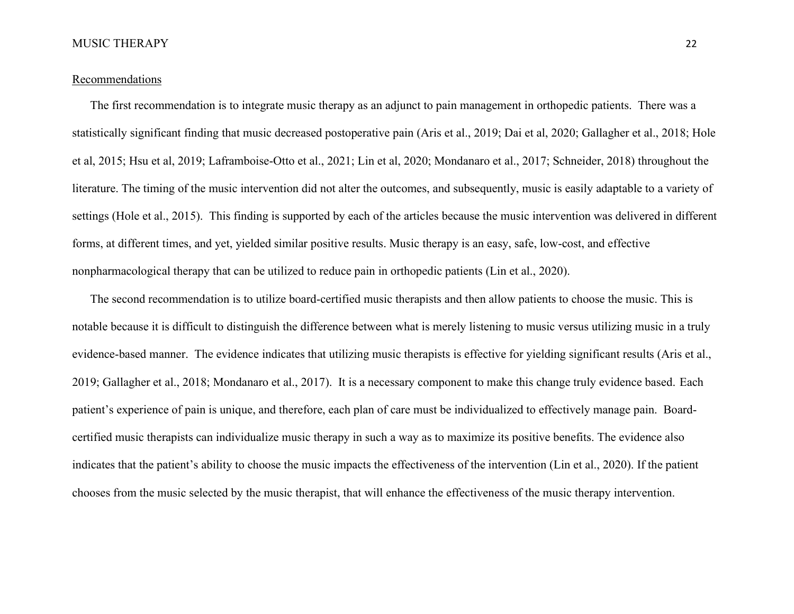#### Recommendations

The first recommendation is to integrate music therapy as an adjunct to pain management in orthopedic patients. There was a statistically significant finding that music decreased postoperative pain (Aris et al., 2019; Dai et al, 2020; Gallagher et al., 2018; Hole et al, 2015; Hsu et al, 2019; Laframboise-Otto et al., 2021; Lin et al, 2020; Mondanaro et al., 2017; Schneider, 2018) throughout the literature. The timing of the music intervention did not alter the outcomes, and subsequently, music is easily adaptable to a variety of settings (Hole et al., 2015). This finding is supported by each of the articles because the music intervention was delivered in different forms, at different times, and yet, yielded similar positive results. Music therapy is an easy, safe, low-cost, and effective nonpharmacological therapy that can be utilized to reduce pain in orthopedic patients (Lin et al., 2020).

The second recommendation is to utilize board-certified music therapists and then allow patients to choose the music. This is notable because it is difficult to distinguish the difference between what is merely listening to music versus utilizing music in a truly evidence-based manner. The evidence indicates that utilizing music therapists is effective for yielding significant results (Aris et al., 2019; Gallagher et al., 2018; Mondanaro et al., 2017). It is a necessary component to make this change truly evidence based. Each patient's experience of pain is unique, and therefore, each plan of care must be individualized to effectively manage pain. Boardcertified music therapists can individualize music therapy in such a way as to maximize its positive benefits. The evidence also indicates that the patient's ability to choose the music impacts the effectiveness of the intervention (Lin et al., 2020). If the patient chooses from the music selected by the music therapist, that will enhance the effectiveness of the music therapy intervention.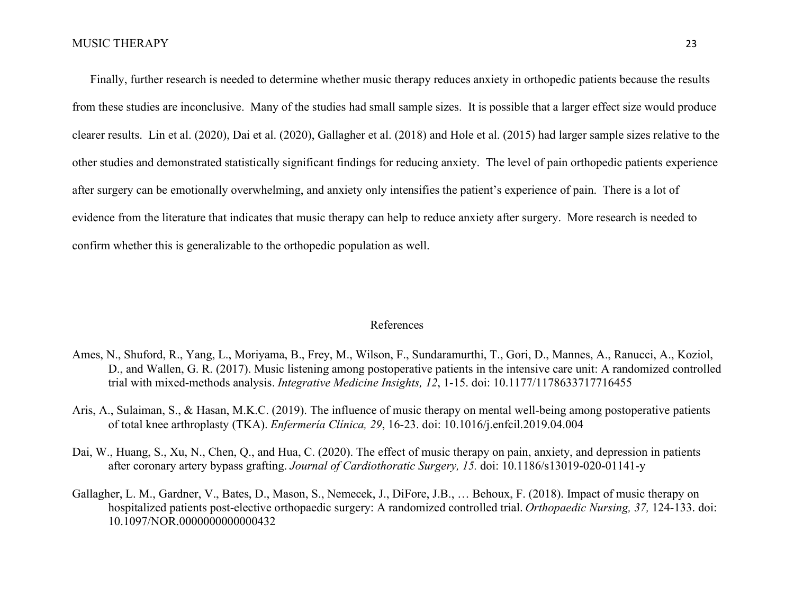Finally, further research is needed to determine whether music therapy reduces anxiety in orthopedic patients because the results from these studies are inconclusive. Many of the studies had small sample sizes. It is possible that a larger effect size would produce clearer results. Lin et al. (2020), Dai et al. (2020), Gallagher et al. (2018) and Hole et al. (2015) had larger sample sizes relative to the other studies and demonstrated statistically significant findings for reducing anxiety. The level of pain orthopedic patients experience after surgery can be emotionally overwhelming, and anxiety only intensifies the patient's experience of pain. There is a lot of evidence from the literature that indicates that music therapy can help to reduce anxiety after surgery. More research is needed to confirm whether this is generalizable to the orthopedic population as well.

#### References

- Ames, N., Shuford, R., Yang, L., Moriyama, B., Frey, M., Wilson, F., Sundaramurthi, T., Gori, D., Mannes, A., Ranucci, A., Koziol, D., and Wallen, G. R. (2017). Music listening among postoperative patients in the intensive care unit: A randomized controlled trial with mixed-methods analysis. Integrative Medicine Insights, 12, 1-15. doi: 10.1177/1178633717716455
- Aris, A., Sulaiman, S., & Hasan, M.K.C. (2019). The influence of music therapy on mental well-being among postoperative patients of total knee arthroplasty (TKA). Enfermería Clínica, 29, 16-23. doi: 10.1016/j.enfcil.2019.04.004
- Dai, W., Huang, S., Xu, N., Chen, Q., and Hua, C. (2020). The effect of music therapy on pain, anxiety, and depression in patients after coronary artery bypass grafting. Journal of Cardiothoratic Surgery, 15. doi: 10.1186/s13019-020-01141-y
- Gallagher, L. M., Gardner, V., Bates, D., Mason, S., Nemecek, J., DiFore, J.B., … Behoux, F. (2018). Impact of music therapy on hospitalized patients post-elective orthopaedic surgery: A randomized controlled trial. Orthopaedic Nursing, 37, 124-133. doi: 10.1097/NOR.0000000000000432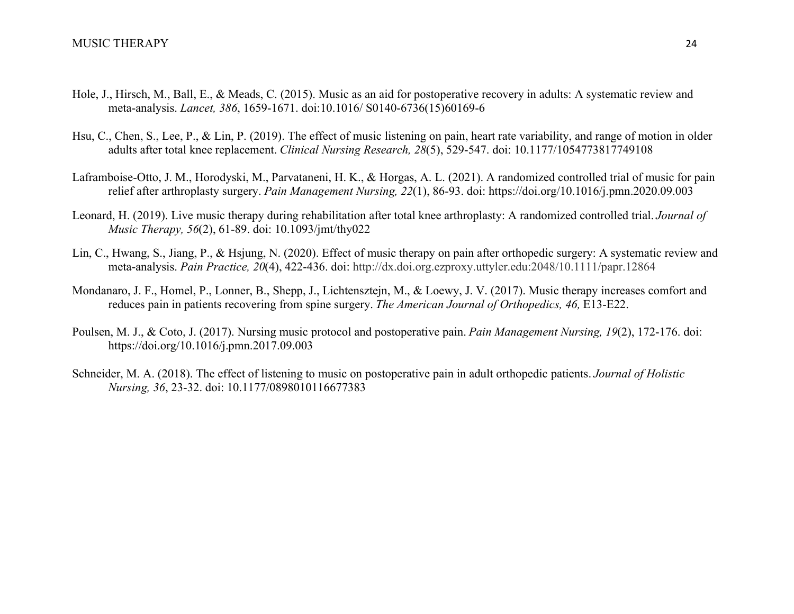- Hole, J., Hirsch, M., Ball, E., & Meads, C. (2015). Music as an aid for postoperative recovery in adults: A systematic review and meta-analysis. Lancet, 386, 1659-1671. doi:10.1016/ S0140-6736(15)60169-6
- Hsu, C., Chen, S., Lee, P., & Lin, P. (2019). The effect of music listening on pain, heart rate variability, and range of motion in older adults after total knee replacement. Clinical Nursing Research, 28(5), 529-547. doi: 10.1177/1054773817749108
- Laframboise-Otto, J. M., Horodyski, M., Parvataneni, H. K., & Horgas, A. L. (2021). A randomized controlled trial of music for pain relief after arthroplasty surgery. Pain Management Nursing, 22(1), 86-93. doi: https://doi.org/10.1016/j.pmn.2020.09.003
- Leonard, H. (2019). Live music therapy during rehabilitation after total knee arthroplasty: A randomized controlled trial. Journal of Music Therapy, 56(2), 61-89. doi: 10.1093/jmt/thy022
- Lin, C., Hwang, S., Jiang, P., & Hsjung, N. (2020). Effect of music therapy on pain after orthopedic surgery: A systematic review and meta-analysis. Pain Practice, 20(4), 422-436. doi: http://dx.doi.org.ezproxy.uttyler.edu:2048/10.1111/papr.12864
- Mondanaro, J. F., Homel, P., Lonner, B., Shepp, J., Lichtensztejn, M., & Loewy, J. V. (2017). Music therapy increases comfort and reduces pain in patients recovering from spine surgery. The American Journal of Orthopedics, 46, E13-E22.
- Poulsen, M. J., & Coto, J. (2017). Nursing music protocol and postoperative pain. Pain Management Nursing, 19(2), 172-176. doi: https://doi.org/10.1016/j.pmn.2017.09.003
- Schneider, M. A. (2018). The effect of listening to music on postoperative pain in adult orthopedic patients. Journal of Holistic Nursing, 36, 23-32. doi: 10.1177/0898010116677383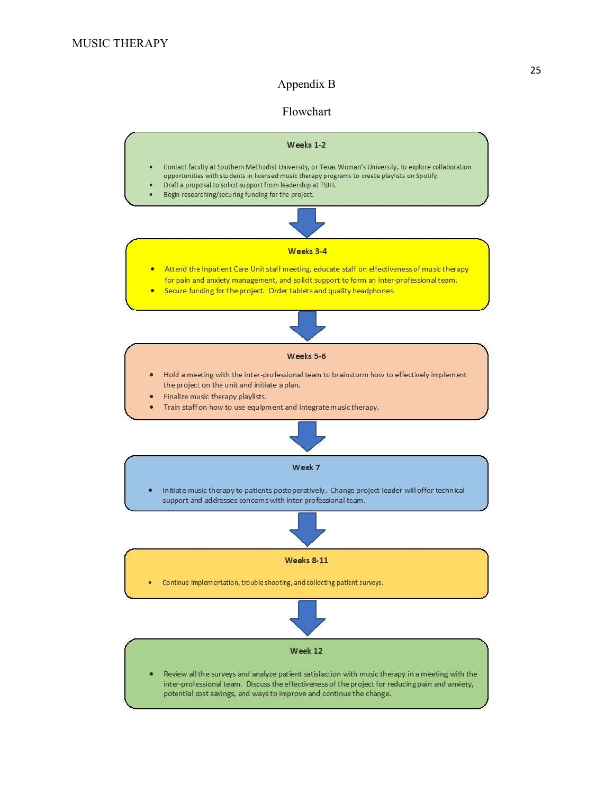## Appendix B

## Flowchart